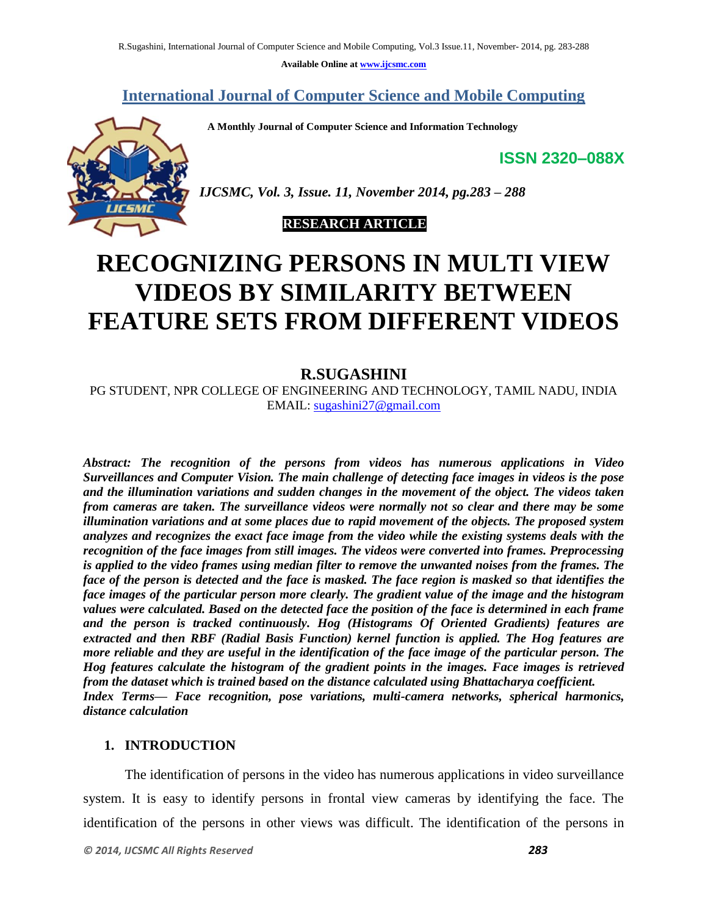**Available Online at www.ijcsmc.com**

### **International Journal of Computer Science and Mobile Computing**

 **A Monthly Journal of Computer Science and Information Technology**

**ISSN 2320–088X**



*IJCSMC, Vol. 3, Issue. 11, November 2014, pg.283 – 288*

### **RESEARCH ARTICLE**

# **RECOGNIZING PERSONS IN MULTI VIEW VIDEOS BY SIMILARITY BETWEEN FEATURE SETS FROM DIFFERENT VIDEOS**

### **R.SUGASHINI**

PG STUDENT, NPR COLLEGE OF ENGINEERING AND TECHNOLOGY, TAMIL NADU, INDIA EMAIL: sugashini27@gmail.com

*Abstract: The recognition of the persons from videos has numerous applications in Video Surveillances and Computer Vision. The main challenge of detecting face images in videos is the pose and the illumination variations and sudden changes in the movement of the object. The videos taken from cameras are taken. The surveillance videos were normally not so clear and there may be some illumination variations and at some places due to rapid movement of the objects. The proposed system analyzes and recognizes the exact face image from the video while the existing systems deals with the recognition of the face images from still images. The videos were converted into frames. Preprocessing is applied to the video frames using median filter to remove the unwanted noises from the frames. The face of the person is detected and the face is masked. The face region is masked so that identifies the face images of the particular person more clearly. The gradient value of the image and the histogram values were calculated. Based on the detected face the position of the face is determined in each frame and the person is tracked continuously. Hog (Histograms Of Oriented Gradients) features are extracted and then RBF (Radial Basis Function) kernel function is applied. The Hog features are more reliable and they are useful in the identification of the face image of the particular person. The Hog features calculate the histogram of the gradient points in the images. Face images is retrieved from the dataset which is trained based on the distance calculated using Bhattacharya coefficient. Index Terms— Face recognition, pose variations, multi-camera networks, spherical harmonics, distance calculation* 

#### **1. INTRODUCTION**

The identification of persons in the video has numerous applications in video surveillance system. It is easy to identify persons in frontal view cameras by identifying the face. The identification of the persons in other views was difficult. The identification of the persons in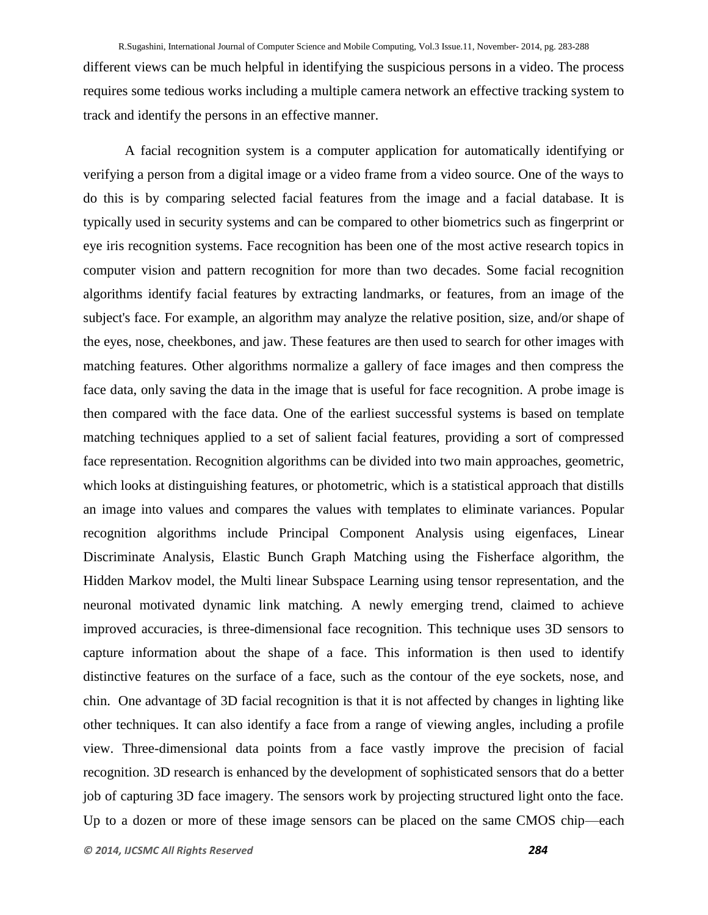different views can be much helpful in identifying the suspicious persons in a video. The process requires some tedious works including a multiple camera network an effective tracking system to track and identify the persons in an effective manner.

A facial recognition system is a computer application for automatically identifying or verifying a person from a digital image or a video frame from a video source. One of the ways to do this is by comparing selected facial features from the image and a facial database. It is typically used in security systems and can be compared to other biometrics such as fingerprint or eye iris recognition systems. Face recognition has been one of the most active research topics in computer vision and pattern recognition for more than two decades. Some facial recognition algorithms identify facial features by extracting landmarks, or features, from an image of the subject's face. For example, an algorithm may analyze the relative position, size, and/or shape of the eyes, nose, cheekbones, and jaw. These features are then used to search for other images with matching features. Other algorithms normalize a gallery of face images and then compress the face data, only saving the data in the image that is useful for face recognition. A probe image is then compared with the face data. One of the earliest successful systems is based on template matching techniques applied to a set of salient facial features, providing a sort of compressed face representation. Recognition algorithms can be divided into two main approaches, geometric, which looks at distinguishing features, or photometric, which is a statistical approach that distills an image into values and compares the values with templates to eliminate variances. Popular recognition algorithms include Principal Component Analysis using eigenfaces, Linear Discriminate Analysis, Elastic Bunch Graph Matching using the Fisherface algorithm, the Hidden Markov model, the Multi linear Subspace Learning using tensor representation, and the neuronal motivated dynamic link matching. A newly emerging trend, claimed to achieve improved accuracies, is three-dimensional face recognition. This technique uses 3D sensors to capture information about the shape of a face. This information is then used to identify distinctive features on the surface of a face, such as the contour of the eye sockets, nose, and chin. One advantage of 3D facial recognition is that it is not affected by changes in lighting like other techniques. It can also identify a face from a range of viewing angles, including a profile view. Three-dimensional data points from a face vastly improve the precision of facial recognition. 3D research is enhanced by the development of sophisticated sensors that do a better job of capturing 3D face imagery. The sensors work by projecting structured light onto the face. Up to a dozen or more of these image sensors can be placed on the same CMOS chip—each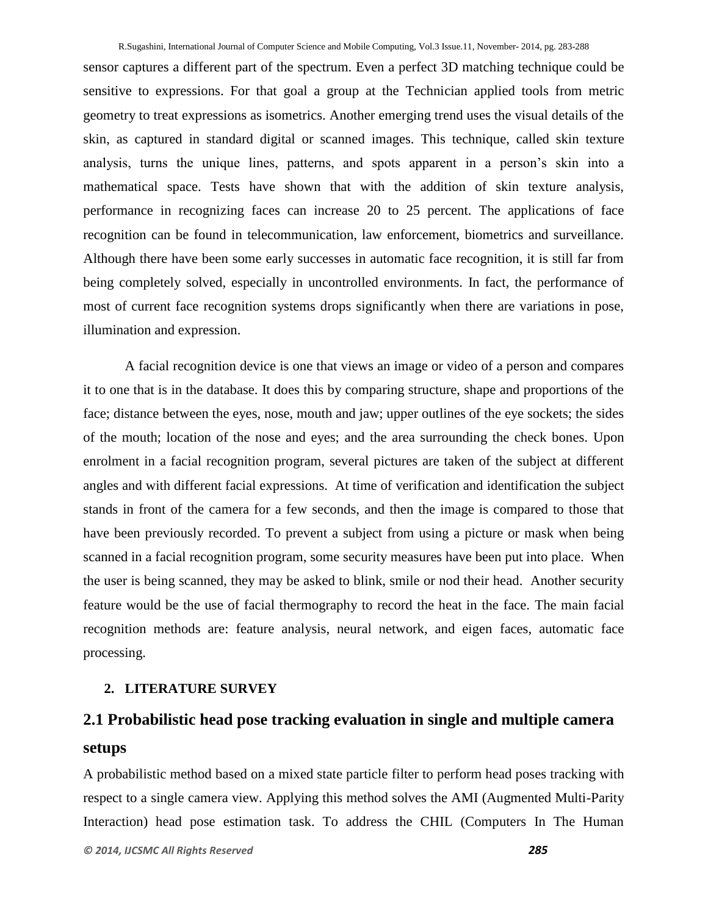sensor captures a different part of the spectrum. Even a perfect 3D matching technique could be sensitive to expressions. For that goal a group at the Technician applied tools from metric geometry to treat expressions as isometrics. Another emerging trend uses the visual details of the skin, as captured in standard digital or scanned images. This technique, called skin texture analysis, turns the unique lines, patterns, and spots apparent in a person's skin into a mathematical space. Tests have shown that with the addition of skin texture analysis, performance in recognizing faces can increase 20 to 25 percent. The applications of face recognition can be found in telecommunication, law enforcement, biometrics and surveillance. Although there have been some early successes in automatic face recognition, it is still far from being completely solved, especially in uncontrolled environments. In fact, the performance of most of current face recognition systems drops significantly when there are variations in pose, illumination and expression.

A facial recognition device is one that views an image or video of a person and compares it to one that is in the database. It does this by comparing structure, shape and proportions of the face; distance between the eyes, nose, mouth and jaw; upper outlines of the eye sockets; the sides of the mouth; location of the nose and eyes; and the area surrounding the check bones. Upon enrolment in a facial recognition program, several pictures are taken of the subject at different angles and with different facial expressions. At time of verification and identification the subject stands in front of the camera for a few seconds, and then the image is compared to those that have been previously recorded. To prevent a subject from using a picture or mask when being scanned in a facial recognition program, some security measures have been put into place. When the user is being scanned, they may be asked to blink, smile or nod their head. Another security feature would be the use of facial thermography to record the heat in the face. The main facial recognition methods are: feature analysis, neural network, and eigen faces, automatic face processing.

#### **2. LITERATURE SURVEY**

# **2.1 Probabilistic head pose tracking evaluation in single and multiple camera setups**

A probabilistic method based on a mixed state particle filter to perform head poses tracking with respect to a single camera view. Applying this method solves the AMI (Augmented Multi-Parity Interaction) head pose estimation task. To address the CHIL (Computers In The Human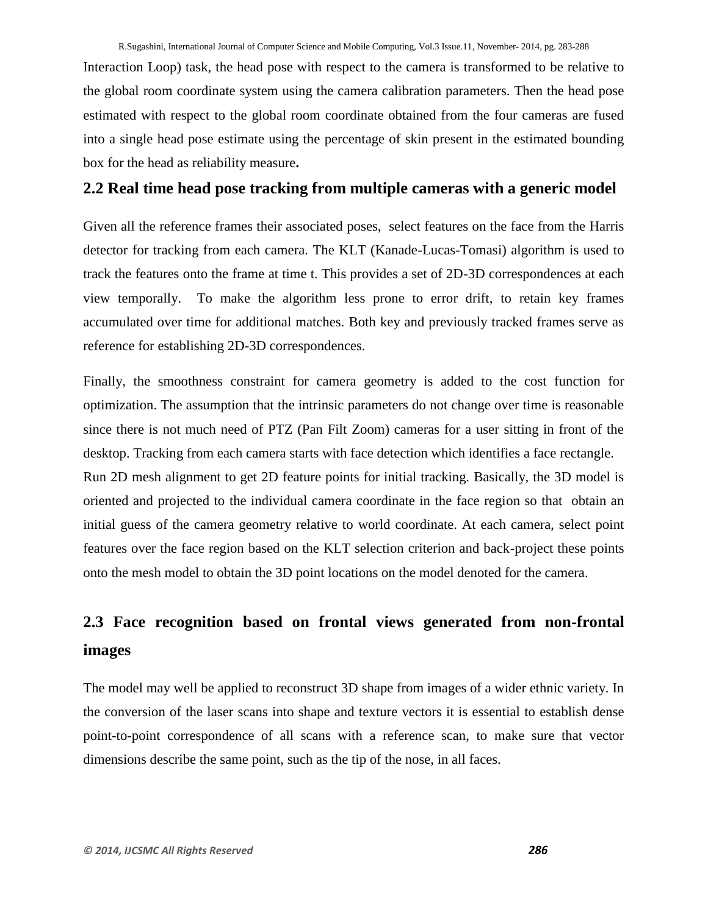Interaction Loop) task, the head pose with respect to the camera is transformed to be relative to the global room coordinate system using the camera calibration parameters. Then the head pose estimated with respect to the global room coordinate obtained from the four cameras are fused into a single head pose estimate using the percentage of skin present in the estimated bounding box for the head as reliability measure**.**

### **2.2 Real time head pose tracking from multiple cameras with a generic model**

Given all the reference frames their associated poses, select features on the face from the Harris detector for tracking from each camera. The KLT (Kanade-Lucas-Tomasi) algorithm is used to track the features onto the frame at time t. This provides a set of 2D-3D correspondences at each view temporally. To make the algorithm less prone to error drift, to retain key frames accumulated over time for additional matches. Both key and previously tracked frames serve as reference for establishing 2D-3D correspondences.

Finally, the smoothness constraint for camera geometry is added to the cost function for optimization. The assumption that the intrinsic parameters do not change over time is reasonable since there is not much need of PTZ (Pan Filt Zoom) cameras for a user sitting in front of the desktop. Tracking from each camera starts with face detection which identifies a face rectangle. Run 2D mesh alignment to get 2D feature points for initial tracking. Basically, the 3D model is oriented and projected to the individual camera coordinate in the face region so that obtain an initial guess of the camera geometry relative to world coordinate. At each camera, select point features over the face region based on the KLT selection criterion and back-project these points onto the mesh model to obtain the 3D point locations on the model denoted for the camera.

# **2.3 Face recognition based on frontal views generated from non-frontal images**

The model may well be applied to reconstruct 3D shape from images of a wider ethnic variety. In the conversion of the laser scans into shape and texture vectors it is essential to establish dense point-to-point correspondence of all scans with a reference scan, to make sure that vector dimensions describe the same point, such as the tip of the nose, in all faces.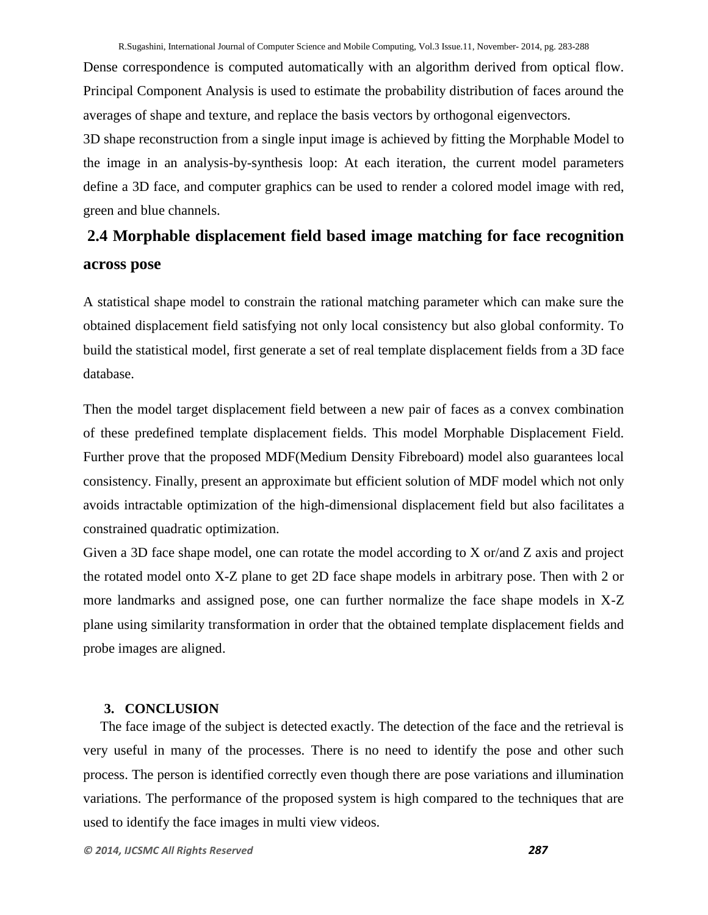Dense correspondence is computed automatically with an algorithm derived from optical flow. Principal Component Analysis is used to estimate the probability distribution of faces around the averages of shape and texture, and replace the basis vectors by orthogonal eigenvectors.

3D shape reconstruction from a single input image is achieved by fitting the Morphable Model to the image in an analysis-by-synthesis loop: At each iteration, the current model parameters define a 3D face, and computer graphics can be used to render a colored model image with red, green and blue channels.

## **2.4 Morphable displacement field based image matching for face recognition across pose**

A statistical shape model to constrain the rational matching parameter which can make sure the obtained displacement field satisfying not only local consistency but also global conformity. To build the statistical model, first generate a set of real template displacement fields from a 3D face database.

Then the model target displacement field between a new pair of faces as a convex combination of these predefined template displacement fields. This model Morphable Displacement Field. Further prove that the proposed MDF(Medium Density Fibreboard) model also guarantees local consistency. Finally, present an approximate but efficient solution of MDF model which not only avoids intractable optimization of the high-dimensional displacement field but also facilitates a constrained quadratic optimization.

Given a 3D face shape model, one can rotate the model according to X or/and Z axis and project the rotated model onto X-Z plane to get 2D face shape models in arbitrary pose. Then with 2 or more landmarks and assigned pose, one can further normalize the face shape models in X-Z plane using similarity transformation in order that the obtained template displacement fields and probe images are aligned.

### **3. CONCLUSION**

The face image of the subject is detected exactly. The detection of the face and the retrieval is very useful in many of the processes. There is no need to identify the pose and other such process. The person is identified correctly even though there are pose variations and illumination variations. The performance of the proposed system is high compared to the techniques that are used to identify the face images in multi view videos.